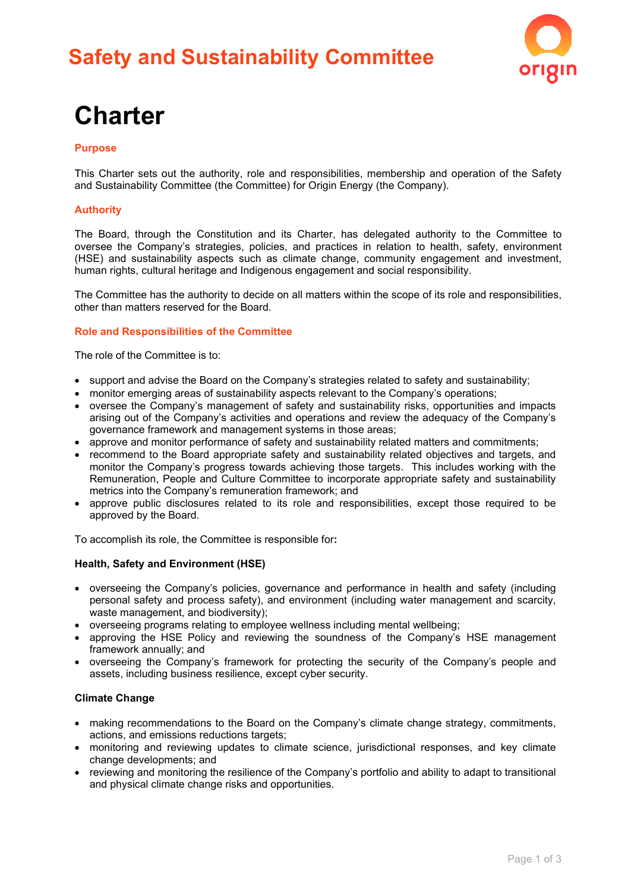# **Safety and Sustainability Committee**



# **Charter**

### **Purpose**

This Charter sets out the authority, role and responsibilities, membership and operation of the Safety and Sustainability Committee (the Committee) for Origin Energy (the Company).

# **Authority**

The Board, through the Constitution and its Charter, has delegated authority to the Committee to oversee the Company's strategies, policies, and practices in relation to health, safety, environment (HSE) and sustainability aspects such as climate change, community engagement and investment, human rights, cultural heritage and Indigenous engagement and social responsibility.

The Committee has the authority to decide on all matters within the scope of its role and responsibilities, other than matters reserved for the Board.

#### **Role and Responsibilities of the Committee**

The role of the Committee is to:

- support and advise the Board on the Company's strategies related to safety and sustainability;
- monitor emerging areas of sustainability aspects relevant to the Company's operations;
- oversee the Company's management of safety and sustainability risks, opportunities and impacts arising out of the Company's activities and operations and review the adequacy of the Company's governance framework and management systems in those areas;
- approve and monitor performance of safety and sustainability related matters and commitments;
- recommend to the Board appropriate safety and sustainability related objectives and targets, and monitor the Company's progress towards achieving those targets. This includes working with the Remuneration, People and Culture Committee to incorporate appropriate safety and sustainability metrics into the Company's remuneration framework; and
- approve public disclosures related to its role and responsibilities, except those required to be approved by the Board.

To accomplish its role, the Committee is responsible for**:**

### **Health, Safety and Environment (HSE)**

- overseeing the Company's policies, governance and performance in health and safety (including personal safety and process safety), and environment (including water management and scarcity, waste management, and biodiversity);
- overseeing programs relating to employee wellness including mental wellbeing;
- approving the HSE Policy and reviewing the soundness of the Company's HSE management framework annually; and
- overseeing the Company's framework for protecting the security of the Company's people and assets, including business resilience, except cyber security.

## **Climate Change**

- making recommendations to the Board on the Company's climate change strategy, commitments, actions, and emissions reductions targets;
- monitoring and reviewing updates to climate science, jurisdictional responses, and key climate change developments; and
- reviewing and monitoring the resilience of the Company's portfolio and ability to adapt to transitional and physical climate change risks and opportunities.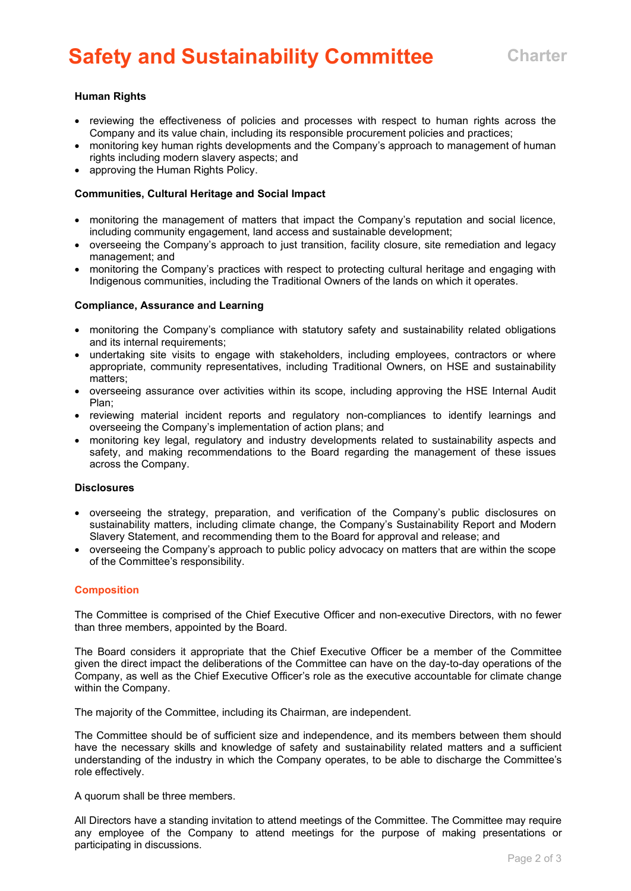# **Safety and Sustainability Committee Charter**

## **Human Rights**

- reviewing the effectiveness of policies and processes with respect to human rights across the Company and its value chain, including its responsible procurement policies and practices;
- monitoring key human rights developments and the Company's approach to management of human rights including modern slavery aspects; and
- approving the Human Rights Policy.

#### **Communities, Cultural Heritage and Social Impact**

- monitoring the management of matters that impact the Company's reputation and social licence. including community engagement, land access and sustainable development;
- overseeing the Company's approach to just transition, facility closure, site remediation and legacy management; and
- monitoring the Company's practices with respect to protecting cultural heritage and engaging with Indigenous communities, including the Traditional Owners of the lands on which it operates.

#### **Compliance, Assurance and Learning**

- monitoring the Company's compliance with statutory safety and sustainability related obligations and its internal requirements;
- undertaking site visits to engage with stakeholders, including employees, contractors or where appropriate, community representatives, including Traditional Owners, on HSE and sustainability matters;
- overseeing assurance over activities within its scope, including approving the HSE Internal Audit Plan;
- reviewing material incident reports and regulatory non-compliances to identify learnings and overseeing the Company's implementation of action plans; and
- monitoring key legal, regulatory and industry developments related to sustainability aspects and safety, and making recommendations to the Board regarding the management of these issues across the Company.

#### **Disclosures**

- overseeing the strategy, preparation, and verification of the Company's public disclosures on sustainability matters, including climate change, the Company's Sustainability Report and Modern Slavery Statement, and recommending them to the Board for approval and release; and
- overseeing the Company's approach to public policy advocacy on matters that are within the scope of the Committee's responsibility.

#### **Composition**

The Committee is comprised of the Chief Executive Officer and non-executive Directors, with no fewer than three members, appointed by the Board.

The Board considers it appropriate that the Chief Executive Officer be a member of the Committee given the direct impact the deliberations of the Committee can have on the day-to-day operations of the Company, as well as the Chief Executive Officer's role as the executive accountable for climate change within the Company.

The majority of the Committee, including its Chairman, are independent.

The Committee should be of sufficient size and independence, and its members between them should have the necessary skills and knowledge of safety and sustainability related matters and a sufficient understanding of the industry in which the Company operates, to be able to discharge the Committee's role effectively.

A quorum shall be three members.

All Directors have a standing invitation to attend meetings of the Committee. The Committee may require any employee of the Company to attend meetings for the purpose of making presentations or participating in discussions.